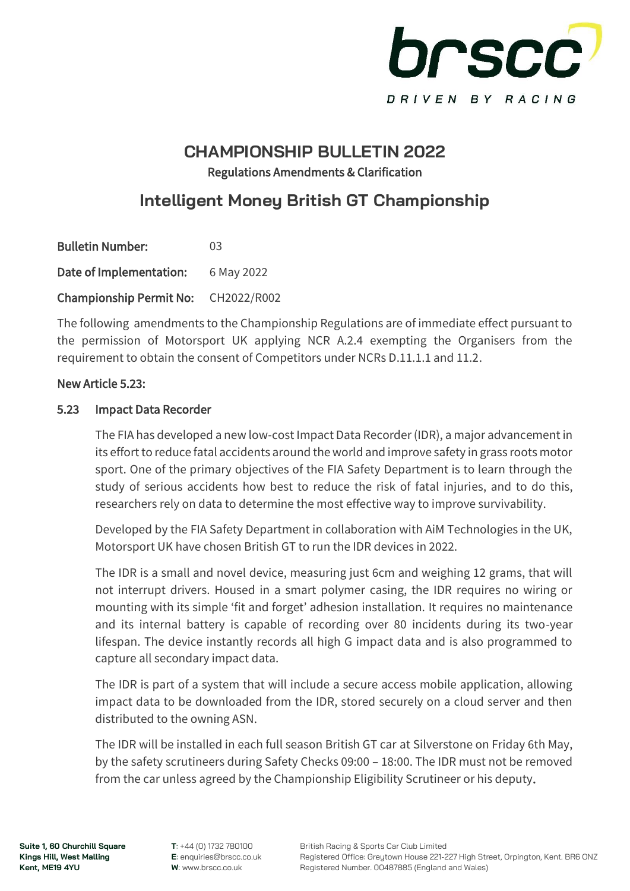

## **CHAMPIONSHIP BULLETIN 2022** Regulations Amendments & Clarification

## **Intelligent Money British GT Championship**

| <b>Bulletin Number:</b>             | 03         |
|-------------------------------------|------------|
| Date of Implementation:             | 6 May 2022 |
| Championship Permit No: CH2022/R002 |            |

The following amendments to the Championship Regulations are of immediate effect pursuant to the permission of Motorsport UK applying NCR A.2.4 exempting the Organisers from the requirement to obtain the consent of Competitors under NCRs D.11.1.1 and 11.2.

#### New Article 5.23:

#### 5.23 Impact Data Recorder

 The FIA has developed a new low-cost Impact Data Recorder (IDR), a major advancement in its effort to reduce fatal accidents around the world and improve safety in grass roots motor sport. One of the primary objectives of the FIA Safety Department is to learn through the study of serious accidents how best to reduce the risk of fatal injuries, and to do this, researchers rely on data to determine the most effective way to improve survivability.

Developed by the FIA Safety Department in collaboration with AiM Technologies in the UK, Motorsport UK have chosen British GT to run the IDR devices in 2022.

The IDR is a small and novel device, measuring just 6cm and weighing 12 grams, that will not interrupt drivers. Housed in a smart polymer casing, the IDR requires no wiring or mounting with its simple 'fit and forget' adhesion installation. It requires no maintenance and its internal battery is capable of recording over 80 incidents during its two-year lifespan. The device instantly records all high G impact data and is also programmed to capture all secondary impact data.

The IDR is part of a system that will include a secure access mobile application, allowing impact data to be downloaded from the IDR, stored securely on a cloud server and then distributed to the owning ASN.

The IDR will be installed in each full season British GT car at Silverstone on Friday 6th May, by the safety scrutineers during Safety Checks 09:00 – 18:00. The IDR must not be removed from the car unless agreed by the Championship Eligibility Scrutineer or his deputy.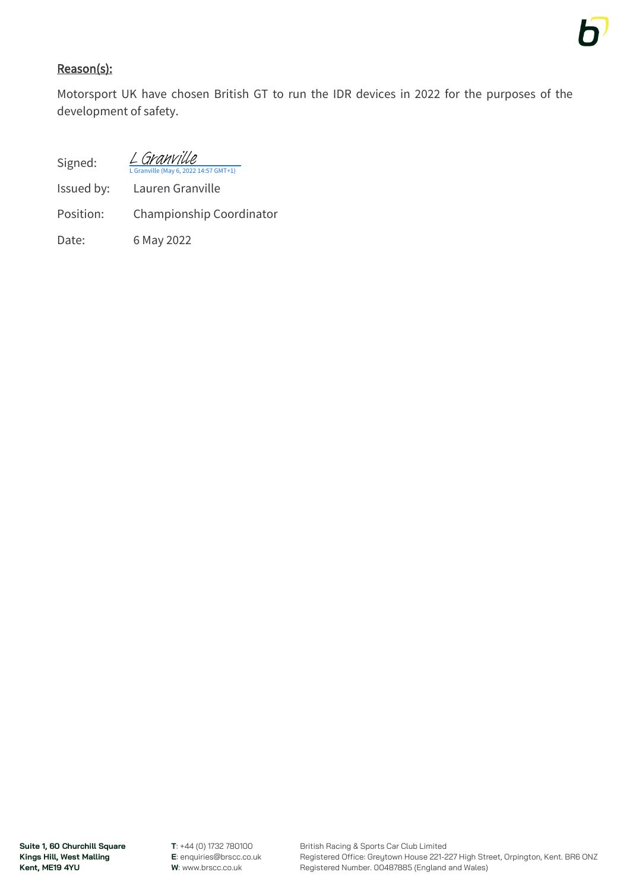### Reason(s):

Motorsport UK have chosen British GT to run the IDR devices in 2022 for the purposes of the development of safety.

Signed:

ville (May 6, 2022 14:57 GMT+1) [L Granville](https://eu1.documents.adobe.com/verifier?tx=CBJCHBCAABAAB2_MKyzIyCOUIfmfTNkbZOmUnzTWYR_s)

- Issued by: Lauren Granville
- Position: Championship Coordinator

Date: 6 May 2022